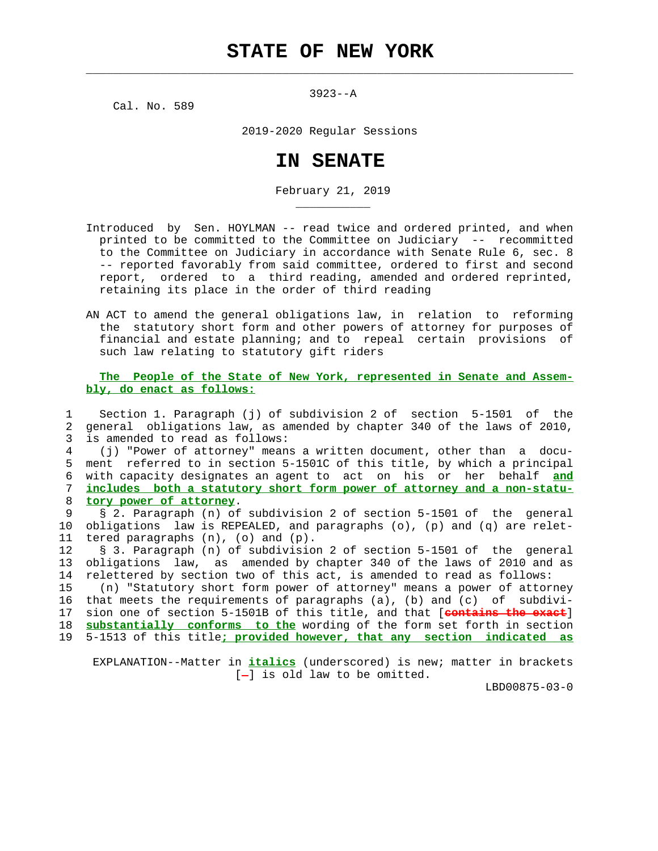$\mathcal{L}_\text{max} = \frac{1}{2} \sum_{i=1}^{n} \frac{1}{2} \sum_{i=1}^{n} \frac{1}{2} \sum_{i=1}^{n} \frac{1}{2} \sum_{i=1}^{n} \frac{1}{2} \sum_{i=1}^{n} \frac{1}{2} \sum_{i=1}^{n} \frac{1}{2} \sum_{i=1}^{n} \frac{1}{2} \sum_{i=1}^{n} \frac{1}{2} \sum_{i=1}^{n} \frac{1}{2} \sum_{i=1}^{n} \frac{1}{2} \sum_{i=1}^{n} \frac{1}{2} \sum_{i=1}^{n} \frac{1$ 

3923--A

Cal. No. 589

\_\_\_\_\_\_\_\_\_\_\_

2019-2020 Regular Sessions

## **IN SENATE**

February 21, 2019

- Introduced by Sen. HOYLMAN -- read twice and ordered printed, and when printed to be committed to the Committee on Judiciary -- recommitted to the Committee on Judiciary in accordance with Senate Rule 6, sec. 8 -- reported favorably from said committee, ordered to first and second report, ordered to a third reading, amended and ordered reprinted, retaining its place in the order of third reading
- AN ACT to amend the general obligations law, in relation to reforming the statutory short form and other powers of attorney for purposes of financial and estate planning; and to repeal certain provisions of such law relating to statutory gift riders

## **The People of the State of New York, represented in Senate and Assem bly, do enact as follows:**

 1 Section 1. Paragraph (j) of subdivision 2 of section 5-1501 of the 2 general obligations law, as amended by chapter 340 of the laws of 2010, 3 is amended to read as follows:

 4 (j) "Power of attorney" means a written document, other than a docu- 5 ment referred to in section 5-1501C of this title, by which a principal 6 with capacity designates an agent to act on his or her behalf **and** 7 **includes both a statutory short form power of attorney and a non-statu-** 8 **tory power of attorney**.

 9 § 2. Paragraph (n) of subdivision 2 of section 5-1501 of the general 10 obligations law is REPEALED, and paragraphs (o), (p) and (q) are relet- 11 tered paragraphs (n), (o) and (p).

 12 § 3. Paragraph (n) of subdivision 2 of section 5-1501 of the general 13 obligations law, as amended by chapter 340 of the laws of 2010 and as 14 relettered by section two of this act, is amended to read as follows:

 15 (n) "Statutory short form power of attorney" means a power of attorney 16 that meets the requirements of paragraphs (a), (b) and (c) of subdivi- 17 sion one of section 5-1501B of this title, and that [**contains the exact**] 18 **substantially conforms to the** wording of the form set forth in section 19 5-1513 of this title**; provided however, that any section indicated as**

 EXPLANATION--Matter in **italics** (underscored) is new; matter in brackets  $[-]$  is old law to be omitted.

LBD00875-03-0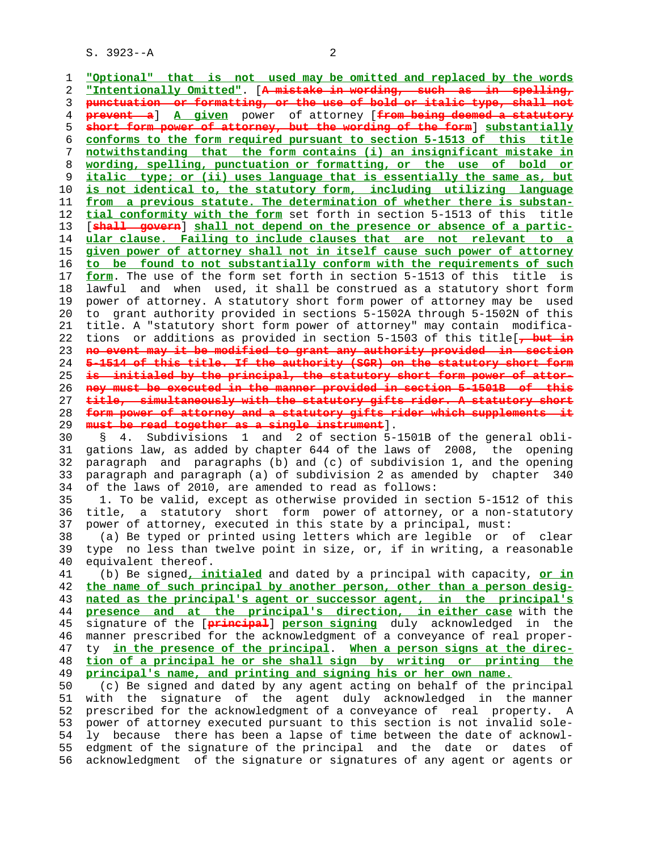1 **"Optional" that is not used may be omitted and replaced by the words** 2 **"Intentionally Omitted"**. [**A mistake in wording, such as in spelling,** 3 **punctuation or formatting, or the use of bold or italic type, shall not** 4 **prevent a**] **A given** power of attorney [**from being deemed a statutory** 5 **short form power of attorney, but the wording of the form**] **substantially** 6 **conforms to the form required pursuant to section 5-1513 of this title** 7 **notwithstanding that the form contains (i) an insignificant mistake in** 8 **wording, spelling, punctuation or formatting, or the use of bold or** 9 **italic type; or (ii) uses language that is essentially the same as, but** 10 **is not identical to, the statutory form, including utilizing language** 11 **from a previous statute. The determination of whether there is substan-** 12 **tial conformity with the form** set forth in section 5-1513 of this title 13 [**shall govern**] **shall not depend on the presence or absence of a partic-** 14 **ular clause. Failing to include clauses that are not relevant to a** 15 **given power of attorney shall not in itself cause such power of attorney** 16 **to be found to not substantially conform with the requirements of such** 17 **form**. The use of the form set forth in section 5-1513 of this title is 18 lawful and when used, it shall be construed as a statutory short form 19 power of attorney. A statutory short form power of attorney may be used 20 to grant authority provided in sections 5-1502A through 5-1502N of this 21 title. A "statutory short form power of attorney" may contain modifica- 22 tions or additions as provided in section 5-1503 of this title[**, but in** 23 **no event may it be modified to grant any authority provided in section** 24 **5-1514 of this title. If the authority (SGR) on the statutory short form** 25 **is initialed by the principal, the statutory short form power of attor-** 26 **ney must be executed in the manner provided in section 5-1501B of this** 27 **title, simultaneously with the statutory gifts rider. A statutory short** 28 **form power of attorney and a statutory gifts rider which supplements it** 29 **must be read together as a single instrument**]. 30 § 4. Subdivisions 1 and 2 of section 5-1501B of the general obli- 31 gations law, as added by chapter 644 of the laws of 2008, the opening 32 paragraph and paragraphs (b) and (c) of subdivision 1, and the opening 33 paragraph and paragraph (a) of subdivision 2 as amended by chapter 340 34 of the laws of 2010, are amended to read as follows: 35 1. To be valid, except as otherwise provided in section 5-1512 of this 36 title, a statutory short form power of attorney, or a non-statutory 37 power of attorney, executed in this state by a principal, must: 38 (a) Be typed or printed using letters which are legible or of clear 39 type no less than twelve point in size, or, if in writing, a reasonable 40 equivalent thereof. 41 (b) Be signed**, initialed** and dated by a principal with capacity, **or in** 42 **the name of such principal by another person, other than a person desig-** 43 **nated as the principal's agent or successor agent, in the principal's** 44 **presence and at the principal's direction, in either case** with the 45 signature of the [**principal**] **person signing** duly acknowledged in the

 46 manner prescribed for the acknowledgment of a conveyance of real proper- 47 ty **in the presence of the principal**. **When a person signs at the direc-** 48 **tion of a principal he or she shall sign by writing or printing the** 49 **principal's name, and printing and signing his or her own name.**

 50 (c) Be signed and dated by any agent acting on behalf of the principal 51 with the signature of the agent duly acknowledged in the manner 52 prescribed for the acknowledgment of a conveyance of real property. A 53 power of attorney executed pursuant to this section is not invalid sole- 54 ly because there has been a lapse of time between the date of acknowl- 55 edgment of the signature of the principal and the date or dates of 56 acknowledgment of the signature or signatures of any agent or agents or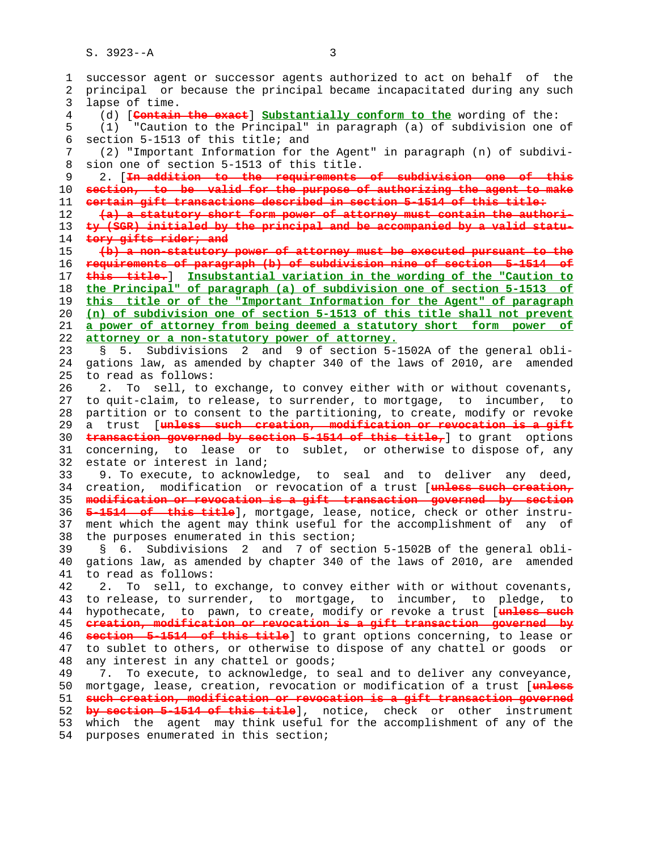1 successor agent or successor agents authorized to act on behalf of the 2 principal or because the principal became incapacitated during any such 3 lapse of time. 4 (d) [**Contain the exact**] **Substantially conform to the** wording of the: 5 (1) "Caution to the Principal" in paragraph (a) of subdivision one of 6 section 5-1513 of this title; and 7 (2) "Important Information for the Agent" in paragraph (n) of subdivi- 8 sion one of section 5-1513 of this title.<br>9 2. [<del>In addition to the requirements</del> 2. [<del>In addition to the requirements of subdivision one of</del> 10 **section, to be valid for the purpose of authorizing the agent to make** 11 **certain gift transactions described in section 5-1514 of this title:** 12 **(a) a statutory short form power of attorney must contain the authori-** 13 **ty (SGR) initialed by the principal and be accompanied by a valid statu-** 14 **tory gifts rider; and** 15 **(b) a non-statutory power of attorney must be executed pursuant to the** 16 **requirements of paragraph (b) of subdivision nine of section 5-1514 of** 17 **this title.**] **Insubstantial variation in the wording of the "Caution to** 18 **the Principal" of paragraph (a) of subdivision one of section 5-1513 of** 19 **this title or of the "Important Information for the Agent" of paragraph** 20 **(n) of subdivision one of section 5-1513 of this title shall not prevent** 21 **a power of attorney from being deemed a statutory short form power of** 22 **attorney or a non-statutory power of attorney.** 23 § 5. Subdivisions 2 and 9 of section 5-1502A of the general obli- 24 gations law, as amended by chapter 340 of the laws of 2010, are amended 25 to read as follows: 26 2. To sell, to exchange, to convey either with or without covenants, 27 to quit-claim, to release, to surrender, to mortgage, to incumber, to 28 partition or to consent to the partitioning, to create, modify or revoke 29 a trust [**unless such creation, modification or revocation is a gift** 30 **transaction governed by section 5-1514 of this title,**] to grant options 31 concerning, to lease or to sublet, or otherwise to dispose of, any 32 estate or interest in land; 33 9. To execute, to acknowledge, to seal and to deliver any deed, 34 creation, modification or revocation of a trust [**unless such creation,** 35 **modification or revocation is a gift transaction governed by section** 36 **5-1514 of this title**], mortgage, lease, notice, check or other instru- 37 ment which the agent may think useful for the accomplishment of any of 38 the purposes enumerated in this section; 39 § 6. Subdivisions 2 and 7 of section 5-1502B of the general obli- 40 gations law, as amended by chapter 340 of the laws of 2010, are amended 41 to read as follows: 42 2. To sell, to exchange, to convey either with or without covenants, 43 to release, to surrender, to mortgage, to incumber, to pledge, to 44 hypothecate, to pawn, to create, modify or revoke a trust [**unless such** 45 **creation, modification or revocation is a gift transaction governed by** 46 **section 5-1514 of this title**] to grant options concerning, to lease or 47 to sublet to others, or otherwise to dispose of any chattel or goods or 48 any interest in any chattel or goods; 49 7. To execute, to acknowledge, to seal and to deliver any conveyance, 50 mortgage, lease, creation, revocation or modification of a trust [**unless** 51 **such creation, modification or revocation is a gift transaction governed** 52 **by section 5-1514 of this title**], notice, check or other instrument 53 which the agent may think useful for the accomplishment of any of the 54 purposes enumerated in this section;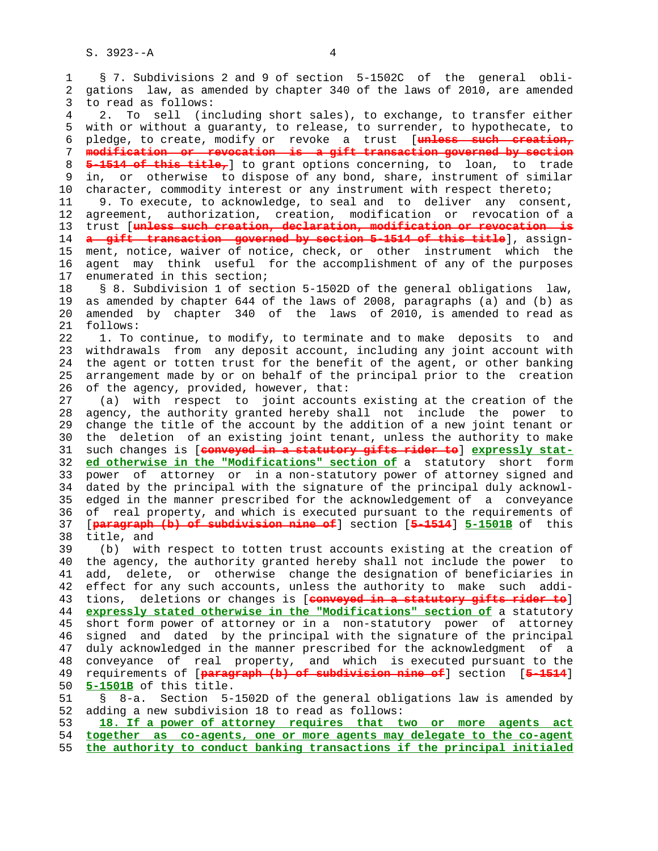1 § 7. Subdivisions 2 and 9 of section 5-1502C of the general obli- 2 gations law, as amended by chapter 340 of the laws of 2010, are amended 3 to read as follows: 4 2. To sell (including short sales), to exchange, to transfer either 5 with or without a guaranty, to release, to surrender, to hypothecate, to 6 pledge, to create, modify or revoke a trust [**unless such creation,** 7 **modification or revocation is a gift transaction governed by section** 8 **5-1514 of this title,**] to grant options concerning, to loan, to trade in, or otherwise to dispose of any bond, share, instrument of similar 10 character, commodity interest or any instrument with respect thereto; 11 9. To execute, to acknowledge, to seal and to deliver any consent, 12 agreement, authorization, creation, modification or revocation of a 13 trust [**unless such creation, declaration, modification or revocation is** 14 **a gift transaction governed by section 5-1514 of this title**], assign- 15 ment, notice, waiver of notice, check, or other instrument which the 16 agent may think useful for the accomplishment of any of the purposes 17 enumerated in this section; 18 § 8. Subdivision 1 of section 5-1502D of the general obligations law, 19 as amended by chapter 644 of the laws of 2008, paragraphs (a) and (b) as 20 amended by chapter 340 of the laws of 2010, is amended to read as 21 follows: 22 1. To continue, to modify, to terminate and to make deposits to and 23 withdrawals from any deposit account, including any joint account with 24 the agent or totten trust for the benefit of the agent, or other banking 25 arrangement made by or on behalf of the principal prior to the creation 26 of the agency, provided, however, that: 27 (a) with respect to joint accounts existing at the creation of the 28 agency, the authority granted hereby shall not include the power to 29 change the title of the account by the addition of a new joint tenant or 30 the deletion of an existing joint tenant, unless the authority to make 31 such changes is [**conveyed in a statutory gifts rider to**] **expressly stat-** 32 **ed otherwise in the "Modifications" section of** a statutory short form 33 power of attorney or in a non-statutory power of attorney signed and 34 dated by the principal with the signature of the principal duly acknowl- 35 edged in the manner prescribed for the acknowledgement of a conveyance 36 of real property, and which is executed pursuant to the requirements of 37 [**paragraph (b) of subdivision nine of**] section [**5-1514**] **5-1501B** of this 38 title, and 39 (b) with respect to totten trust accounts existing at the creation of 40 the agency, the authority granted hereby shall not include the power to 41 add, delete, or otherwise change the designation of beneficiaries in 42 effect for any such accounts, unless the authority to make such addi- 43 tions, deletions or changes is [**conveyed in a statutory gifts rider to**] 44 **expressly stated otherwise in the "Modifications" section of** a statutory 45 short form power of attorney or in a non-statutory power of attorney 46 signed and dated by the principal with the signature of the principal 47 duly acknowledged in the manner prescribed for the acknowledgment of a 48 conveyance of real property, and which is executed pursuant to the 49 requirements of [**paragraph (b) of subdivision nine of**] section [**5-1514**] 50 **5-1501B** of this title. 51 § 8-a. Section 5-1502D of the general obligations law is amended by 52 adding a new subdivision 18 to read as follows: 53 **18. If a power of attorney requires that two or more agents act** 54 **together as co-agents, one or more agents may delegate to the co-agent**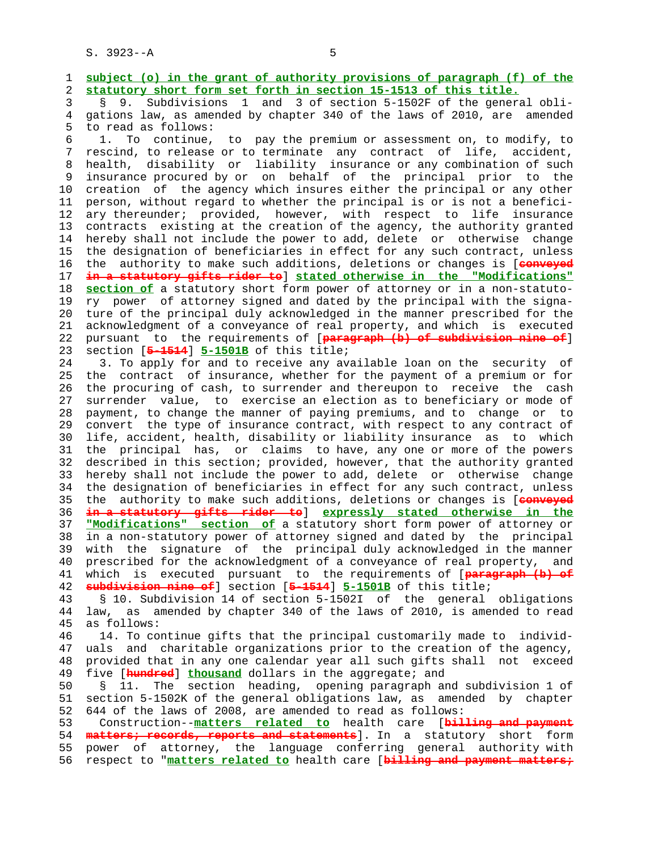1 **subject (o) in the grant of authority provisions of paragraph (f) of the** 2 **statutory short form set forth in section 15-1513 of this title.** 3 § 9. Subdivisions 1 and 3 of section 5-1502F of the general obli- 4 gations law, as amended by chapter 340 of the laws of 2010, are amended 5 to read as follows: 6 1. To continue, to pay the premium or assessment on, to modify, to 7 rescind, to release or to terminate any contract of life, accident, 8 health, disability or liability insurance or any combination of such 9 insurance procured by or on behalf of the principal prior to the 10 creation of the agency which insures either the principal or any other 11 person, without regard to whether the principal is or is not a benefici- 12 ary thereunder; provided, however, with respect to life insurance 13 contracts existing at the creation of the agency, the authority granted 14 hereby shall not include the power to add, delete or otherwise change 15 the designation of beneficiaries in effect for any such contract, unless 16 the authority to make such additions, deletions or changes is [**conveyed** 17 **in a statutory gifts rider to**] **stated otherwise in the "Modifications"** 18 **section of** a statutory short form power of attorney or in a non-statuto- 19 ry power of attorney signed and dated by the principal with the signa- 20 ture of the principal duly acknowledged in the manner prescribed for the 21 acknowledgment of a conveyance of real property, and which is executed 22 pursuant to the requirements of [**paragraph (b) of subdivision nine of**] 23 section [**5-1514**] **5-1501B** of this title; 24 3. To apply for and to receive any available loan on the security of 25 the contract of insurance, whether for the payment of a premium or for 26 the procuring of cash, to surrender and thereupon to receive the cash 27 surrender value, to exercise an election as to beneficiary or mode of 28 payment, to change the manner of paying premiums, and to change or to 29 convert the type of insurance contract, with respect to any contract of 30 life, accident, health, disability or liability insurance as to which 31 the principal has, or claims to have, any one or more of the powers 32 described in this section; provided, however, that the authority granted 33 hereby shall not include the power to add, delete or otherwise change 34 the designation of beneficiaries in effect for any such contract, unless 35 the authority to make such additions, deletions or changes is [**conveyed** 36 **in a statutory gifts rider to**] **expressly stated otherwise in the** 37 **"Modifications" section of** a statutory short form power of attorney or 38 in a non-statutory power of attorney signed and dated by the principal 39 with the signature of the principal duly acknowledged in the manner 40 prescribed for the acknowledgment of a conveyance of real property, and 41 which is executed pursuant to the requirements of [**paragraph (b) of** 42 **subdivision nine of**] section [**5-1514**] **5-1501B** of this title; 43 § 10. Subdivision 14 of section 5-1502I of the general obligations 44 law, as amended by chapter 340 of the laws of 2010, is amended to read 45 as follows: 46 14. To continue gifts that the principal customarily made to individ- 47 uals and charitable organizations prior to the creation of the agency, 48 provided that in any one calendar year all such gifts shall not exceed 49 five [**hundred**] **thousand** dollars in the aggregate; and 50 § 11. The section heading, opening paragraph and subdivision 1 of 51 section 5-1502K of the general obligations law, as amended by chapter 52 644 of the laws of 2008, are amended to read as follows: 53 Construction--**matters related to** health care [**billing and payment** 54 **matters; records, reports and statements**]. In a statutory short form 55 power of attorney, the language conferring general authority with 56 respect to "**matters related to** health care [**billing and payment matters;**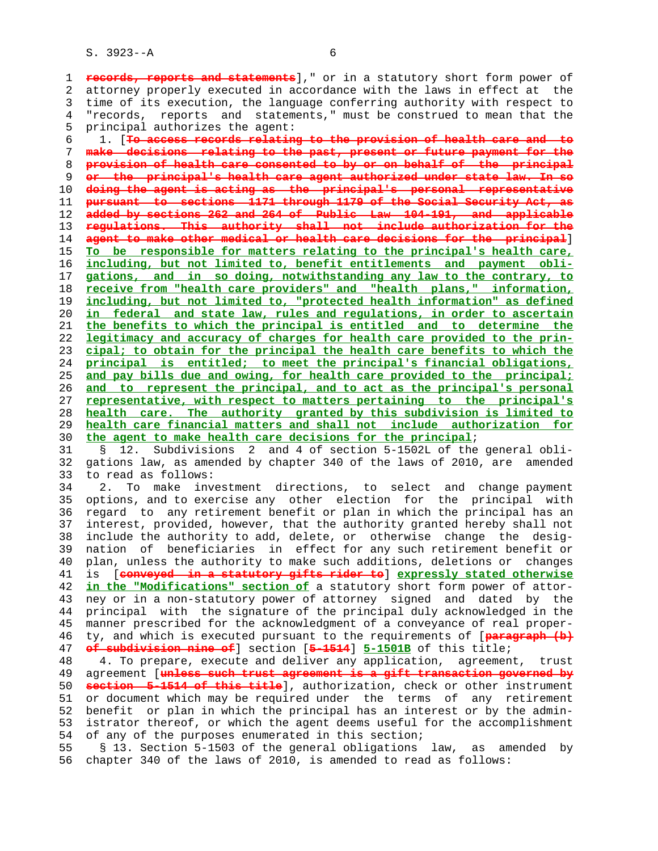1 **records, reports and statements**]," or in a statutory short form power of 2 attorney properly executed in accordance with the laws in effect at the 3 time of its execution, the language conferring authority with respect to 4 "records, reports and statements," must be construed to mean that the 5 principal authorizes the agent:

 6 1. [**To access records relating to the provision of health care and to make decisions relating to the past, present or future payment for the provision of health care consented to by or on behalf of the principal or the principal's health care agent authorized under state law. In so doing the agent is acting as the principal's personal representative pursuant to sections 1171 through 1179 of the Social Security Act, as added by sections 262 and 264 of Public Law 104-191, and applicable regulations. This authority shall not include authorization for the agent to make other medical or health care decisions for the principal**] **To be responsible for matters relating to the principal's health care, including, but not limited to, benefit entitlements and payment obli- gations, and in so doing, notwithstanding any law to the contrary, to receive from "health care providers" and "health plans," information, including, but not limited to, "protected health information" as defined in federal and state law, rules and regulations, in order to ascertain the benefits to which the principal is entitled and to determine the legitimacy and accuracy of charges for health care provided to the prin- cipal; to obtain for the principal the health care benefits to which the principal is entitled; to meet the principal's financial obligations, and pay bills due and owing, for health care provided to the principal; and to represent the principal, and to act as the principal's personal representative, with respect to matters pertaining to the principal's health care. The authority granted by this subdivision is limited to health care financial matters and shall not include authorization for the agent to make health care decisions for the principal**;

 31 § 12. Subdivisions 2 and 4 of section 5-1502L of the general obli- 32 gations law, as amended by chapter 340 of the laws of 2010, are amended 33 to read as follows:

 34 2. To make investment directions, to select and change payment 35 options, and to exercise any other election for the principal with 36 regard to any retirement benefit or plan in which the principal has an 37 interest, provided, however, that the authority granted hereby shall not 38 include the authority to add, delete, or otherwise change the desig- 39 nation of beneficiaries in effect for any such retirement benefit or 40 plan, unless the authority to make such additions, deletions or changes 41 is [**conveyed in a statutory gifts rider to**] **expressly stated otherwise** 42 **in the "Modifications" section of** a statutory short form power of attor- 43 ney or in a non-statutory power of attorney signed and dated by the 44 principal with the signature of the principal duly acknowledged in the 45 manner prescribed for the acknowledgment of a conveyance of real proper- 46 ty, and which is executed pursuant to the requirements of [**paragraph (b)** 47 **of subdivision nine of**] section [**5-1514**] **5-1501B** of this title;

 48 4. To prepare, execute and deliver any application, agreement, trust 49 agreement [**unless such trust agreement is a gift transaction governed by** 50 **section 5-1514 of this title**], authorization, check or other instrument 51 or document which may be required under the terms of any retirement 52 benefit or plan in which the principal has an interest or by the admin- 53 istrator thereof, or which the agent deems useful for the accomplishment 54 of any of the purposes enumerated in this section;

 55 § 13. Section 5-1503 of the general obligations law, as amended by 56 chapter 340 of the laws of 2010, is amended to read as follows: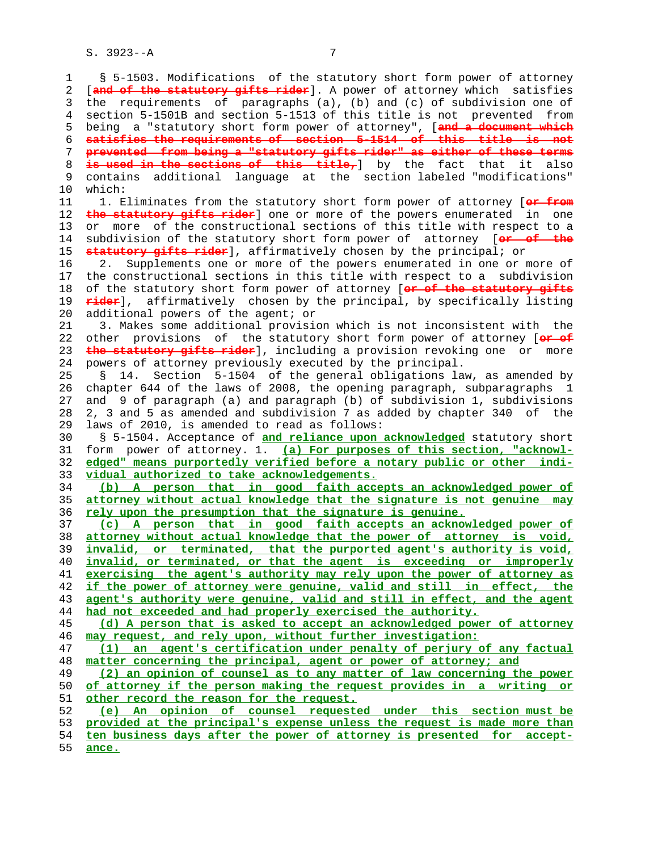1 § 5-1503. Modifications of the statutory short form power of attorney 2 [**and of the statutory gifts rider**]. A power of attorney which satisfies 3 the requirements of paragraphs (a), (b) and (c) of subdivision one of 4 section 5-1501B and section 5-1513 of this title is not prevented from 5 being a "statutory short form power of attorney", [**and a document which** 6 **satisfies the requirements of section 5-1514 of this title is not** 7 **prevented from being a "statutory gifts rider" as either of these terms** 8 **is used in the sections of this title,**] by the fact that it also 9 contains additional language at the section labeled "modifications" 10 which: 11 1. Eliminates from the statutory short form power of attorney [**or from** 12 **the statutory gifts rider**] one or more of the powers enumerated in one 13 or more of the constructional sections of this title with respect to a 14 subdivision of the statutory short form power of attorney [**or of the** 15 **statutory gifts rider**], affirmatively chosen by the principal; or 16 2. Supplements one or more of the powers enumerated in one or more of 17 the constructional sections in this title with respect to a subdivision 18 of the statutory short form power of attorney [**or of the statutory gifts** 19 **rider**], affirmatively chosen by the principal, by specifically listing 20 additional powers of the agent; or 21 3. Makes some additional provision which is not inconsistent with the 22 other provisions of the statutory short form power of attorney [**or of** 23 **the statutory gifts rider**], including a provision revoking one or more 24 powers of attorney previously executed by the principal. 25 § 14. Section 5-1504 of the general obligations law, as amended by 26 chapter 644 of the laws of 2008, the opening paragraph, subparagraphs 1 27 and 9 of paragraph (a) and paragraph (b) of subdivision 1, subdivisions 28 2, 3 and 5 as amended and subdivision 7 as added by chapter 340 of the 29 laws of 2010, is amended to read as follows: 30 § 5-1504. Acceptance of **and reliance upon acknowledged** statutory short 31 form power of attorney. 1. **(a) For purposes of this section, "acknowl-** 32 **edged" means purportedly verified before a notary public or other indi-** 33 **vidual authorized to take acknowledgements.** 34 **(b) A person that in good faith accepts an acknowledged power of** 35 **attorney without actual knowledge that the signature is not genuine may** 36 **rely upon the presumption that the signature is genuine.** 37 **(c) A person that in good faith accepts an acknowledged power of** 38 **attorney without actual knowledge that the power of attorney is void,** 39 **invalid, or terminated, that the purported agent's authority is void,** 40 **invalid, or terminated, or that the agent is exceeding or improperly** 41 **exercising the agent's authority may rely upon the power of attorney as** 42 **if the power of attorney were genuine, valid and still in effect, the** 43 **agent's authority were genuine, valid and still in effect, and the agent** 44 **had not exceeded and had properly exercised the authority.** 45 **(d) A person that is asked to accept an acknowledged power of attorney** 46 **may request, and rely upon, without further investigation:** 47 **(1) an agent's certification under penalty of perjury of any factual** 48 **matter concerning the principal, agent or power of attorney; and** 49 **(2) an opinion of counsel as to any matter of law concerning the power** 50 **of attorney if the person making the request provides in a writing or** 51 **other record the reason for the request.** 52 **(e) An opinion of counsel requested under this section must be** 53 **provided at the principal's expense unless the request is made more than** 54 **ten business days after the power of attorney is presented for accept-** 55 **ance.**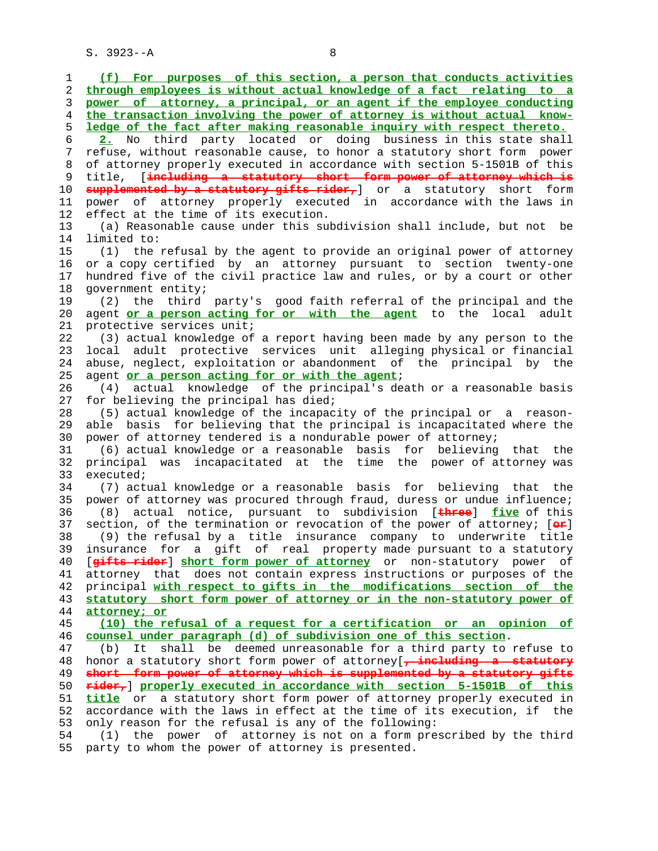1 **(f) For purposes of this section, a person that conducts activities** 2 **through employees is without actual knowledge of a fact relating to a** 3 **power of attorney, a principal, or an agent if the employee conducting** 4 **the transaction involving the power of attorney is without actual know-** 5 **ledge of the fact after making reasonable inquiry with respect thereto.** 6 **2.** No third party located or doing business in this state shall 7 refuse, without reasonable cause, to honor a statutory short form power 8 of attorney properly executed in accordance with section 5-1501B of this<br>9 title, [<del>ingluding a statutory short form power of attorney which is</del> 9 title, [**including a statutory short form power of attorney which is** 10 **supplemented by a statutory gifts rider,**] or a statutory short form 11 power of attorney properly executed in accordance with the laws in 12 effect at the time of its execution. 13 (a) Reasonable cause under this subdivision shall include, but not be 14 limited to: 15 (1) the refusal by the agent to provide an original power of attorney 16 or a copy certified by an attorney pursuant to section twenty-one 17 hundred five of the civil practice law and rules, or by a court or other 18 government entity; 19 (2) the third party's good faith referral of the principal and the 20 agent **or a person acting for or with the agent** to the local adult 21 protective services unit; 22 (3) actual knowledge of a report having been made by any person to the 23 local adult protective services unit alleging physical or financial 24 abuse, neglect, exploitation or abandonment of the principal by the 25 agent **or a person acting for or with the agent**; 26 (4) actual knowledge of the principal's death or a reasonable basis 27 for believing the principal has died; 28 (5) actual knowledge of the incapacity of the principal or a reason- 29 able basis for believing that the principal is incapacitated where the 30 power of attorney tendered is a nondurable power of attorney; 31 (6) actual knowledge or a reasonable basis for believing that the 32 principal was incapacitated at the time the power of attorney was 33 executed; 34 (7) actual knowledge or a reasonable basis for believing that the 35 power of attorney was procured through fraud, duress or undue influence; 36 (8) actual notice, pursuant to subdivision [**three**] **five** of this 37 section, of the termination or revocation of the power of attorney; [**or**] 38 (9) the refusal by a title insurance company to underwrite title 39 insurance for a gift of real property made pursuant to a statutory 40 [**gifts rider**] **short form power of attorney** or non-statutory power of 41 attorney that does not contain express instructions or purposes of the 42 principal **with respect to gifts in the modifications section of the** 43 **statutory short form power of attorney or in the non-statutory power of** 44 **attorney; or** 45 **(10) the refusal of a request for a certification or an opinion of** 46 **counsel under paragraph (d) of subdivision one of this section**. 47 (b) It shall be deemed unreasonable for a third party to refuse to 48 honor a statutory short form power of attorney[**, including a statutory** 49 **short form power of attorney which is supplemented by a statutory gifts** 50 **rider,**] **properly executed in accordance with section 5-1501B of this** 51 **title** or a statutory short form power of attorney properly executed in 52 accordance with the laws in effect at the time of its execution, if the 53 only reason for the refusal is any of the following: 54 (1) the power of attorney is not on a form prescribed by the third 55 party to whom the power of attorney is presented.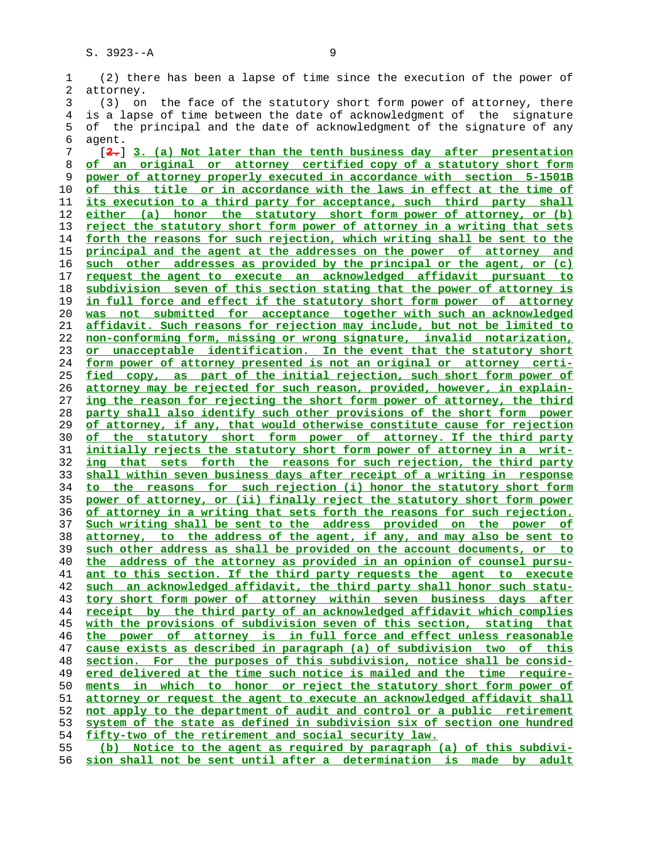1 (2) there has been a lapse of time since the execution of the power of 2 attorney. 3 (3) on the face of the statutory short form power of attorney, there 4 is a lapse of time between the date of acknowledgment of the signature 5 of the principal and the date of acknowledgment of the signature of any 6 agent. 7 [**2.**] **3. (a) Not later than the tenth business day after presentation of an original or attorney certified copy of a statutory short form power of attorney properly executed in accordance with section 5-1501B of this title or in accordance with the laws in effect at the time of its execution to a third party for acceptance, such third party shall either (a) honor the statutory short form power of attorney, or (b) reject the statutory short form power of attorney in a writing that sets forth the reasons for such rejection, which writing shall be sent to the principal and the agent at the addresses on the power of attorney and such other addresses as provided by the principal or the agent, or (c) request the agent to execute an acknowledged affidavit pursuant to subdivision seven of this section stating that the power of attorney is in full force and effect if the statutory short form power of attorney was not submitted for acceptance together with such an acknowledged affidavit. Such reasons for rejection may include, but not be limited to non-conforming form, missing or wrong signature, invalid notarization, or unacceptable identification. In the event that the statutory short form power of attorney presented is not an original or attorney certi- fied copy, as part of the initial rejection, such short form power of attorney may be rejected for such reason, provided, however, in explain- ing the reason for rejecting the short form power of attorney, the third party shall also identify such other provisions of the short form power of attorney, if any, that would otherwise constitute cause for rejection of the statutory short form power of attorney. If the third party initially rejects the statutory short form power of attorney in a writ- ing that sets forth the reasons for such rejection, the third party shall within seven business days after receipt of a writing in response to the reasons for such rejection (i) honor the statutory short form power of attorney, or (ii) finally reject the statutory short form power of attorney in a writing that sets forth the reasons for such rejection. Such writing shall be sent to the address provided on the power of attorney, to the address of the agent, if any, and may also be sent to such other address as shall be provided on the account documents, or to the address of the attorney as provided in an opinion of counsel pursu- ant to this section. If the third party requests the agent to execute such an acknowledged affidavit, the third party shall honor such statu- tory short form power of attorney within seven business days after receipt by the third party of an acknowledged affidavit which complies with the provisions of subdivision seven of this section, stating that the power of attorney is in full force and effect unless reasonable cause exists as described in paragraph (a) of subdivision two of this section. For the purposes of this subdivision, notice shall be consid- ered delivered at the time such notice is mailed and the time require- ments in which to honor or reject the statutory short form power of attorney or request the agent to execute an acknowledged affidavit shall not apply to the department of audit and control or a public retirement system of the state as defined in subdivision six of section one hundred fifty-two of the retirement and social security law. (b) Notice to the agent as required by paragraph (a) of this subdivi-**

**sion shall not be sent until after a determination is made by adult**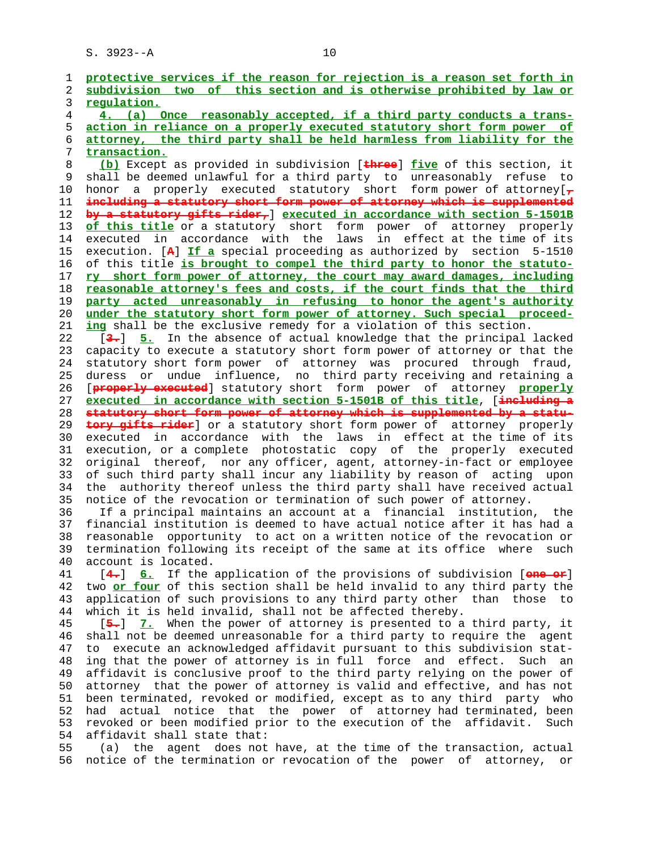1 **protective services if the reason for rejection is a reason set forth in** 2 **subdivision two of this section and is otherwise prohibited by law or** 3 **regulation.** 4 **4. (a) Once reasonably accepted, if a third party conducts a trans-** 5 **action in reliance on a properly executed statutory short form power of** 6 **attorney, the third party shall be held harmless from liability for the** 7 **transaction.** 8 **(b)** Except as provided in subdivision [**three**] **five** of this section, it shall be deemed unlawful for a third party to unreasonably refuse to 10 honor a properly executed statutory short form power of attorney[**,** 11 **including a statutory short form power of attorney which is supplemented** 12 **by a statutory gifts rider,**] **executed in accordance with section 5-1501B** 13 **of this title** or a statutory short form power of attorney properly 14 executed in accordance with the laws in effect at the time of its 15 execution. [**A**] **If a** special proceeding as authorized by section 5-1510 16 of this title **is brought to compel the third party to honor the statuto-** 17 **ry short form power of attorney, the court may award damages, including** 18 **reasonable attorney's fees and costs, if the court finds that the third** 19 **party acted unreasonably in refusing to honor the agent's authority** 20 **under the statutory short form power of attorney. Such special proceed-** 21 **ing** shall be the exclusive remedy for a violation of this section. 22 [**3.**] **5.** In the absence of actual knowledge that the principal lacked 23 capacity to execute a statutory short form power of attorney or that the 24 statutory short form power of attorney was procured through fraud, 25 duress or undue influence, no third party receiving and retaining a 26 [**properly executed**] statutory short form power of attorney **properly** 27 **executed in accordance with section 5-1501B of this title**, [**including a** 28 **statutory short form power of attorney which is supplemented by a statu-** 29 **tory gifts rider**] or a statutory short form power of attorney properly 30 executed in accordance with the laws in effect at the time of its 31 execution, or a complete photostatic copy of the properly executed 32 original thereof, nor any officer, agent, attorney-in-fact or employee 33 of such third party shall incur any liability by reason of acting upon 34 the authority thereof unless the third party shall have received actual 35 notice of the revocation or termination of such power of attorney. 36 If a principal maintains an account at a financial institution, the 37 financial institution is deemed to have actual notice after it has had a 38 reasonable opportunity to act on a written notice of the revocation or 39 termination following its receipt of the same at its office where such 40 account is located. 41 [**4.**] **6.** If the application of the provisions of subdivision [**one or**] 42 two **or four** of this section shall be held invalid to any third party the 43 application of such provisions to any third party other than those to 44 which it is held invalid, shall not be affected thereby. 45 [**5.**] **7.** When the power of attorney is presented to a third party, it 46 shall not be deemed unreasonable for a third party to require the agent 47 to execute an acknowledged affidavit pursuant to this subdivision stat- 48 ing that the power of attorney is in full force and effect. Such an 49 affidavit is conclusive proof to the third party relying on the power of 50 attorney that the power of attorney is valid and effective, and has not 51 been terminated, revoked or modified, except as to any third party who 52 had actual notice that the power of attorney had terminated, been 53 revoked or been modified prior to the execution of the affidavit. Such 54 affidavit shall state that: 55 (a) the agent does not have, at the time of the transaction, actual 56 notice of the termination or revocation of the power of attorney, or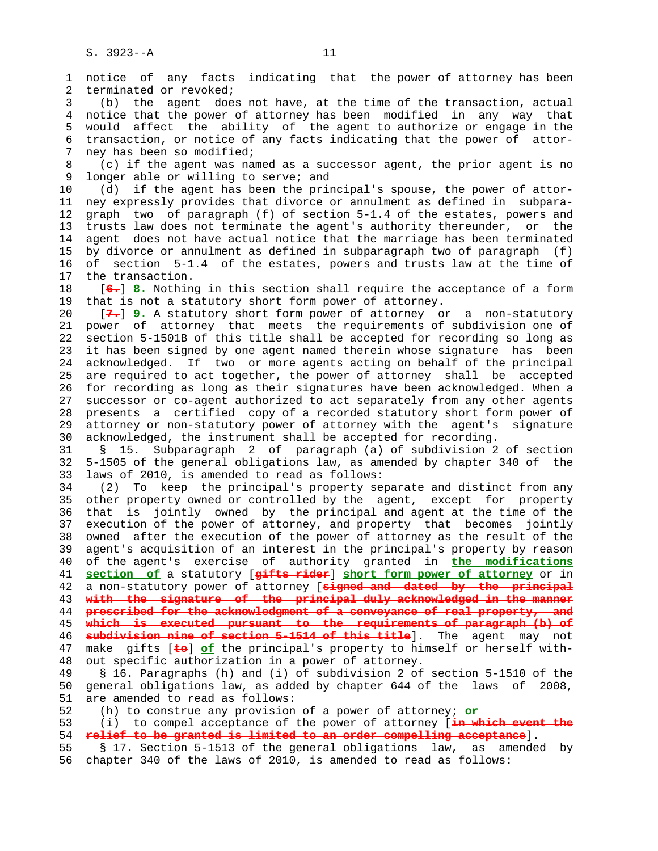1 notice of any facts indicating that the power of attorney has been 2 terminated or revoked; 3 (b) the agent does not have, at the time of the transaction, actual 4 notice that the power of attorney has been modified in any way that 5 would affect the ability of the agent to authorize or engage in the 6 transaction, or notice of any facts indicating that the power of attor- 7 ney has been so modified; 8 (c) if the agent was named as a successor agent, the prior agent is no<br>9 longer able or willing to serve; and longer able or willing to serve; and 10 (d) if the agent has been the principal's spouse, the power of attor- 11 ney expressly provides that divorce or annulment as defined in subpara- 12 graph two of paragraph (f) of section 5-1.4 of the estates, powers and 13 trusts law does not terminate the agent's authority thereunder, or the 14 agent does not have actual notice that the marriage has been terminated 15 by divorce or annulment as defined in subparagraph two of paragraph (f) 16 of section 5-1.4 of the estates, powers and trusts law at the time of 17 the transaction. 18 [**6.**] **8.** Nothing in this section shall require the acceptance of a form 19 that is not a statutory short form power of attorney. 20 [**7.**] **9.** A statutory short form power of attorney or a non-statutory 21 power of attorney that meets the requirements of subdivision one of 22 section 5-1501B of this title shall be accepted for recording so long as 23 it has been signed by one agent named therein whose signature has been 24 acknowledged. If two or more agents acting on behalf of the principal 25 are required to act together, the power of attorney shall be accepted 26 for recording as long as their signatures have been acknowledged. When a 27 successor or co-agent authorized to act separately from any other agents 28 presents a certified copy of a recorded statutory short form power of 29 attorney or non-statutory power of attorney with the agent's signature 30 acknowledged, the instrument shall be accepted for recording. 31 § 15. Subparagraph 2 of paragraph (a) of subdivision 2 of section 32 5-1505 of the general obligations law, as amended by chapter 340 of the 33 laws of 2010, is amended to read as follows: 34 (2) To keep the principal's property separate and distinct from any 35 other property owned or controlled by the agent, except for property 36 that is jointly owned by the principal and agent at the time of the 37 execution of the power of attorney, and property that becomes jointly 38 owned after the execution of the power of attorney as the result of the 39 agent's acquisition of an interest in the principal's property by reason 40 of the agent's exercise of authority granted in **the modifications** 41 **section of** a statutory [**gifts rider**] **short form power of attorney** or in 42 a non-statutory power of attorney [**signed and dated by the principal** 43 **with the signature of the principal duly acknowledged in the manner** 44 **prescribed for the acknowledgment of a conveyance of real property, and** 45 **which is executed pursuant to the requirements of paragraph (b) of** 46 **subdivision nine of section 5-1514 of this title**]. The agent may not 47 make gifts [**to**] **of** the principal's property to himself or herself with- 48 out specific authorization in a power of attorney. 49 § 16. Paragraphs (h) and (i) of subdivision 2 of section 5-1510 of the 50 general obligations law, as added by chapter 644 of the laws of 2008, 51 are amended to read as follows: 52 (h) to construe any provision of a power of attorney; **or** 53 (i) to compel acceptance of the power of attorney [**in which event the** 54 **relief to be granted is limited to an order compelling acceptance**]. 55 § 17. Section 5-1513 of the general obligations law, as amended by

56 chapter 340 of the laws of 2010, is amended to read as follows: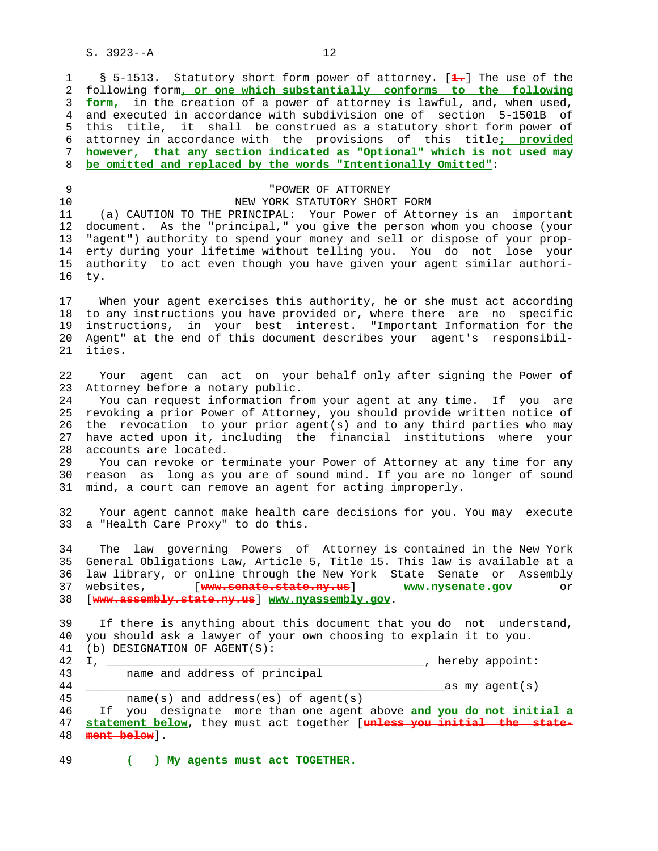1 § 5-1513. Statutory short form power of attorney. [**1.**] The use of the 2 following form**, or one which substantially conforms to the following** 3 **form,** in the creation of a power of attorney is lawful, and, when used, 4 and executed in accordance with subdivision one of section 5-1501B of 5 this title, it shall be construed as a statutory short form power of 6 attorney in accordance with the provisions of this title**; provided** 7 **however, that any section indicated as "Optional" which is not used may** 8 **be omitted and replaced by the words "Intentionally Omitted"**:

## 9 "POWER OF ATTORNEY 10 NEW YORK STATUTORY SHORT FORM 11 (a) CAUTION TO THE PRINCIPAL: Your Power of Attorney is an important 12 document. As the "principal," you give the person whom you choose (your 13 "agent") authority to spend your money and sell or dispose of your prop- 14 erty during your lifetime without telling you. You do not lose your 15 authority to act even though you have given your agent similar authori- 16 ty.

 17 When your agent exercises this authority, he or she must act according 18 to any instructions you have provided or, where there are no specific 19 instructions, in your best interest. "Important Information for the 20 Agent" at the end of this document describes your agent's responsibil- 21 ities.

 22 Your agent can act on your behalf only after signing the Power of 23 Attorney before a notary public.

 24 You can request information from your agent at any time. If you are 25 revoking a prior Power of Attorney, you should provide written notice of 26 the revocation to your prior agent(s) and to any third parties who may 27 have acted upon it, including the financial institutions where your 28 accounts are located.

 29 You can revoke or terminate your Power of Attorney at any time for any 30 reason as long as you are of sound mind. If you are no longer of sound 31 mind, a court can remove an agent for acting improperly.

 32 Your agent cannot make health care decisions for you. You may execute 33 a "Health Care Proxy" to do this.

 34 The law governing Powers of Attorney is contained in the New York 35 General Obligations Law, Article 5, Title 15. This law is available at a 36 law library, or online through the New York State Senate or Assembly 37 websites, [**www.senate.state.ny.us**] **www.nysenate.gov** or 38 [**www.assembly.state.ny.us**] **www.nyassembly.gov**.

 39 If there is anything about this document that you do not understand, 40 you should ask a lawyer of your own choosing to explain it to you. 41 (b) DESIGNATION OF AGENT(S): 42 I, \_\_\_\_\_\_\_\_\_\_\_\_\_\_\_\_\_\_\_\_\_\_\_\_\_\_\_\_\_\_\_\_\_\_\_\_\_\_\_\_\_\_\_\_\_\_\_, hereby appoint: 43 name and address of principal 44 \_\_\_\_\_\_\_\_\_\_\_\_\_\_\_\_\_\_\_\_\_\_\_\_\_\_\_\_\_\_\_\_\_\_\_\_\_\_\_\_\_\_\_\_\_\_\_\_\_\_\_\_\_as my agent(s) 45 name(s) and address(es) of agent(s) 46 If you designate more than one agent above **and you do not initial a** 47 **statement below**, they must act together [**unless you initial the state-** 48 **ment below**].

49 **( ) My agents must act TOGETHER.**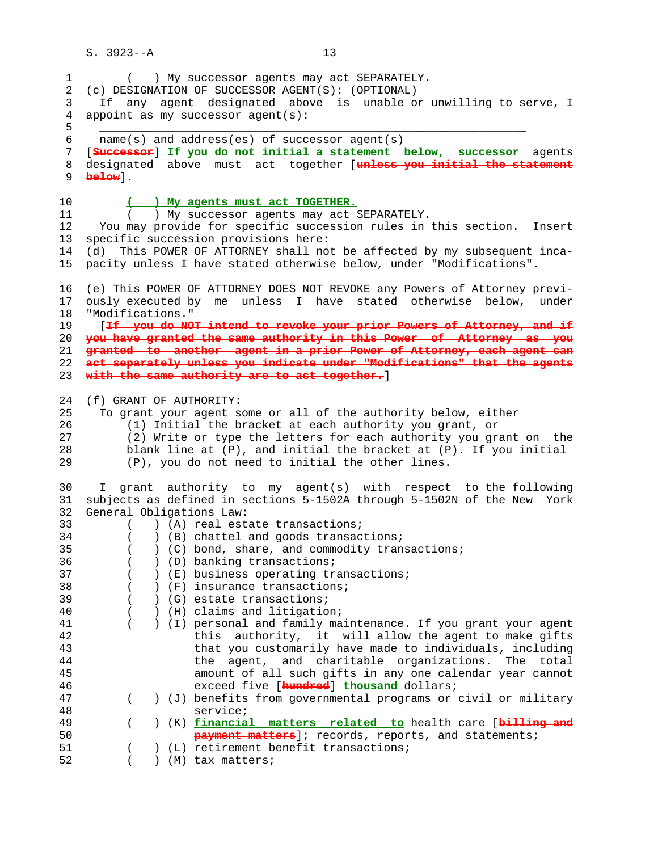1 ( ) My successor agents may act SEPARATELY. 2 (c) DESIGNATION OF SUCCESSOR AGENT(S): (OPTIONAL) 3 If any agent designated above is unable or unwilling to serve, I 4 appoint as my successor agent(s): 5 \_\_\_\_\_\_\_\_\_\_\_\_\_\_\_\_\_\_\_\_\_\_\_\_\_\_\_\_\_\_\_\_\_\_\_\_\_\_\_\_\_\_\_\_\_\_\_\_\_\_\_\_\_\_\_\_\_\_\_\_\_\_\_ 6 name(s) and address(es) of successor agent(s) 7 [**Successor**] **If you do not initial a statement below, successor** agents 8 designated above must act together [**unless you initial the statement** 9 **below**]. 10 **( ) My agents must act TOGETHER.** 11 ( ) My successor agents may act SEPARATELY. 12 You may provide for specific succession rules in this section. Insert 13 specific succession provisions here: 14 (d) This POWER OF ATTORNEY shall not be affected by my subsequent inca- 15 pacity unless I have stated otherwise below, under "Modifications". 16 (e) This POWER OF ATTORNEY DOES NOT REVOKE any Powers of Attorney previ- 17 ously executed by me unless I have stated otherwise below, under 18 "Modifications." 19 [**If you do NOT intend to revoke your prior Powers of Attorney, and if** 20 **you have granted the same authority in this Power of Attorney as you** 21 **granted to another agent in a prior Power of Attorney, each agent can** 22 **act separately unless you indicate under "Modifications" that the agents** 23 **with the same authority are to act together.**] 24 (f) GRANT OF AUTHORITY: 25 To grant your agent some or all of the authority below, either 26 (1) Initial the bracket at each authority you grant, or 27 (2) Write or type the letters for each authority you grant on the 28 blank line at  $(P)$ , and initial the bracket at  $(P)$ . If you initial 29 (P), you do not need to initial the other lines. 30 I grant authority to my agent(s) with respect to the following<br>31 subjects as defined in sections 5-1502A through 5-1502N of the New York subjects as defined in sections 5-1502A through 5-1502N of the New York 32 General Obligations Law: 33 ( ) (A) real estate transactions; 34 ( ) (B) chattel and goods transactions; 35 ( ) (C) bond, share, and commodity transactions; 36 ( ) (D) banking transactions; 37 ( ) (E) business operating transactions; 38 ( ) (F) insurance transactions; 39 ( ) (G) estate transactions; 40 ( ) (H) claims and litigation; 41 ( ) (I) personal and family maintenance. If you grant your agent 42 this authority, it will allow the agent to make gifts 43 that you customarily have made to individuals, including 44 the agent, and charitable organizations. The total amount of all such gifts in any one calendar year cannot 46 exceed five [**hundred**] **thousand** dollars; 47 () (J) benefits from governmental programs or civil or military<br>48 service; 49 ( ) (K) **financial matters related to** health care [**billing and** 50 **payment matters**]; records, reports, and statements; 51 ( ) (L) retirement benefit transactions; 52 ( ) (M) tax matters;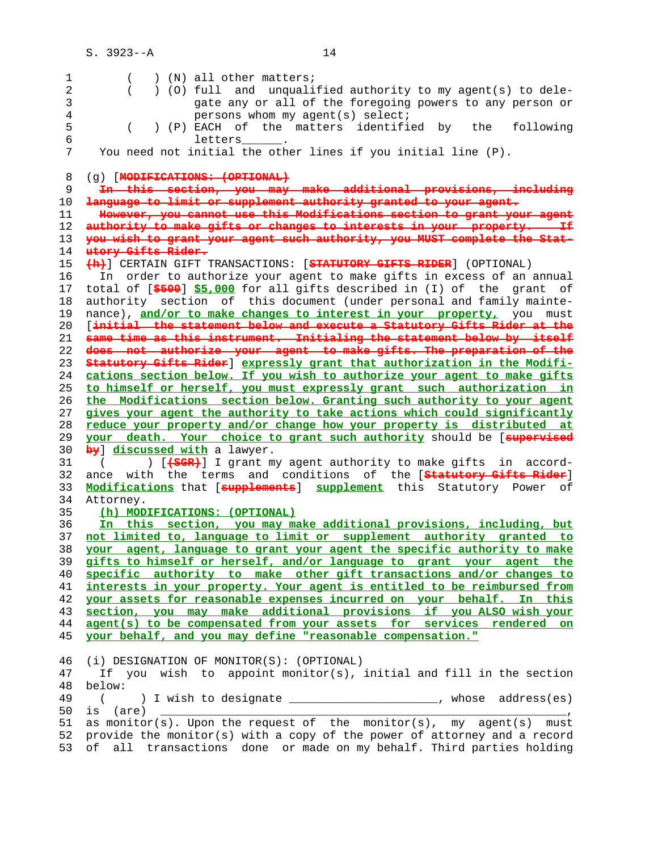| 1              | ) (N) all other matters;<br>$\left($                                       |
|----------------|----------------------------------------------------------------------------|
| $\overline{a}$ | ) (0) full and unqualified authority to my agent(s) to dele-<br>$\left($   |
| 3              | gate any or all of the foregoing powers to any person or                   |
| $\overline{4}$ | persons whom my agent(s) select;                                           |
|                |                                                                            |
| 5              | () (P) EACH of the matters identified by the<br>following                  |
| 6              | letters .                                                                  |
| 7              | You need not initial the other lines if you initial line (P).              |
|                | (q) [MODIFICATIONS: (OPTIONAL)                                             |
| 8              |                                                                            |
| 9              | In this section, you may make additional provisions, including             |
| 10             | language to limit or supplement authority granted to your agent.           |
| 11             | However, you cannot use this Modifications section to grant your agent     |
| 12             | authority to make gifts or changes to interests in your property. If       |
| 13             | you wish to grant your agent such authority, you MUST complete the Stat-   |
| 14             | utory Gifts Rider.                                                         |
| 15             | (h) CERTAIN GIFT TRANSACTIONS: [STATUTORY GIFTS RIDER] (OPTIONAL)          |
| 16             | In order to authorize your agent to make gifts in excess of an annual      |
| 17             | total of [\$500] \$5,000 for all gifts described in (I) of the grant of    |
| 18             | authority section of this document (under personal and family mainte-      |
| 19             | nance), and/or to make changes to interest in your property, you must      |
|                |                                                                            |
| 20             | [initial the statement below and execute a Statutory Gifts Rider at the    |
| 21             | same time as this instrument. Initialing the statement below by itself     |
| 22             | does not authorize your agent to make gifts. The preparation of the        |
| 23             | Statutory Gifts Rider] expressly grant that authorization in the Modifi-   |
| 24             | cations section below. If you wish to authorize your agent to make gifts   |
| 25             | to himself or herself, you must expressly grant such authorization in      |
| 26             | the Modifications section below. Granting such authority to your agent     |
| 27             | gives your agent the authority to take actions which could significantly   |
| 28             | reduce your property and/or change how your property is distributed at     |
| 29             | your death. Your choice to grant such authority should be [supervised      |
| 30             | by discussed with a lawyer.                                                |
| 31             | ) [(SCR) I grant my agent authority to make gifts in accord-<br>$\left($   |
| 32             | ance with the terms and conditions of the [Statutory Gifts Rider]          |
| 33             | Modifications that [supplements] supplement this Statutory Power of        |
| 34             | Attorney.                                                                  |
| 35             | (h) MODIFICATIONS: (OPTIONAL)                                              |
| 36             | In this section, you may make additional provisions, including, but        |
| 37             | not limited to, language to limit or supplement authority granted to       |
| 38             |                                                                            |
|                | your agent, language to grant your agent the specific authority to make    |
| 39             | gifts to himself or herself, and/or language to grant your agent the       |
| 40             | specific authority to make other gift transactions and/or changes to       |
| 41             | interests in your property. Your agent is entitled to be reimbursed from   |
| 42             | your assets for reasonable expenses incurred on your behalf. In this       |
| 43             | section, you may make additional provisions if you ALSO wish your          |
| 44             | agent(s) to be compensated from your assets for services rendered on       |
| 45             | your behalf, and you may define "reasonable compensation."                 |
|                |                                                                            |
| 46             | $(i)$ DESIGNATION OF MONITOR(S): (OPTIONAL)                                |
| 47             | If you wish to appoint monitor(s), initial and fill in the section         |
| 48             | below:                                                                     |
| 49             | ) I wish to designate _____________________, whose address(es)<br>$\left($ |
| 50             | is (are)                                                                   |
| 51             | as monitor(s). Upon the request of the monitor(s), my agent(s) must        |
| 52             | provide the monitor(s) with a copy of the power of attorney and a record   |
|                |                                                                            |
| 53             | all transactions done or made on my behalf. Third parties holding<br>οf    |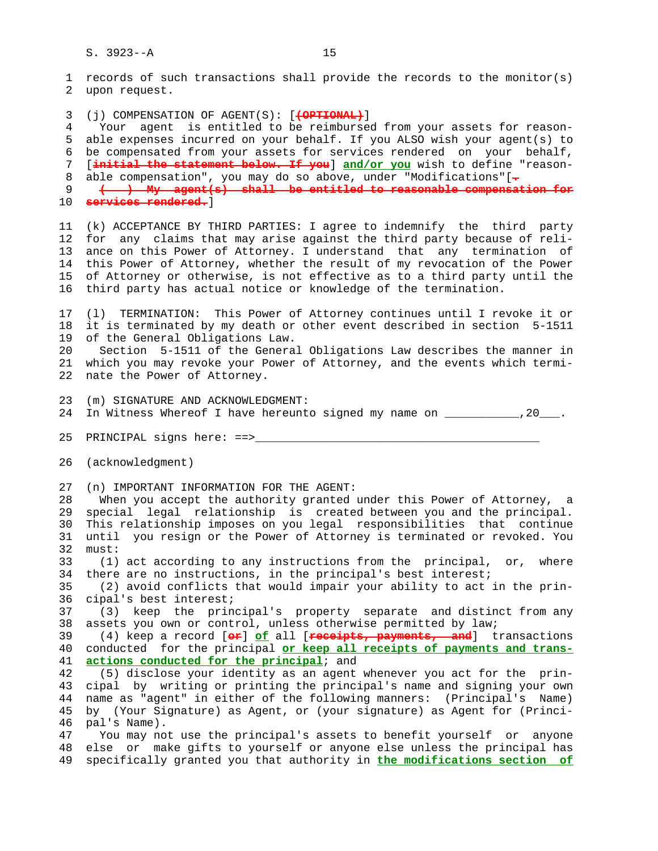1 records of such transactions shall provide the records to the monitor(s) 2 upon request.

3 (j) COMPENSATION OF AGENT(S): [**(OPTIONAL)**]

 4 Your agent is entitled to be reimbursed from your assets for reason- 5 able expenses incurred on your behalf. If you ALSO wish your agent(s) to 6 be compensated from your assets for services rendered on your behalf, 7 [**initial the statement below. If you**] **and/or you** wish to define "reason- 8 able compensation", you may do so above, under "Modifications"[**.** 9 **( ) My agent(s) shall be entitled to reasonable compensation for**

10 **services rendered.**]

 11 (k) ACCEPTANCE BY THIRD PARTIES: I agree to indemnify the third party 12 for any claims that may arise against the third party because of reli- 13 ance on this Power of Attorney. I understand that any termination of 14 this Power of Attorney, whether the result of my revocation of the Power 15 of Attorney or otherwise, is not effective as to a third party until the 16 third party has actual notice or knowledge of the termination.

 17 (l) TERMINATION: This Power of Attorney continues until I revoke it or 18 it is terminated by my death or other event described in section 5-1511 19 of the General Obligations Law.

 20 Section 5-1511 of the General Obligations Law describes the manner in 21 which you may revoke your Power of Attorney, and the events which termi- 22 nate the Power of Attorney.

23 (m) SIGNATURE AND ACKNOWLEDGMENT:

- 24 In Witness Whereof I have hereunto signed my name on \_\_\_\_\_\_\_\_\_\_, 20\_\_\_.
- 25 PRINCIPAL signs here: ==>\_\_\_\_\_\_\_\_\_\_\_\_\_\_\_\_\_\_\_\_\_\_\_\_\_\_\_\_\_\_\_\_\_\_\_\_\_\_\_\_\_\_

26 (acknowledgment)

27 (n) IMPORTANT INFORMATION FOR THE AGENT:

 28 When you accept the authority granted under this Power of Attorney, a 29 special legal relationship is created between you and the principal. 30 This relationship imposes on you legal responsibilities that continue 31 until you resign or the Power of Attorney is terminated or revoked. You 32 must:

 33 (1) act according to any instructions from the principal, or, where 34 there are no instructions, in the principal's best interest;

 35 (2) avoid conflicts that would impair your ability to act in the prin- 36 cipal's best interest;

 37 (3) keep the principal's property separate and distinct from any 38 assets you own or control, unless otherwise permitted by law;

 39 (4) keep a record [**or**] **of** all [**receipts, payments, and**] transactions 40 conducted for the principal **or keep all receipts of payments and trans-** 41 **actions conducted for the principal**; and

 42 (5) disclose your identity as an agent whenever you act for the prin- 43 cipal by writing or printing the principal's name and signing your own 44 name as "agent" in either of the following manners: (Principal's Name) 45 by (Your Signature) as Agent, or (your signature) as Agent for (Princi- 46 pal's Name).

 47 You may not use the principal's assets to benefit yourself or anyone 48 else or make gifts to yourself or anyone else unless the principal has 49 specifically granted you that authority in **the modifications section of**